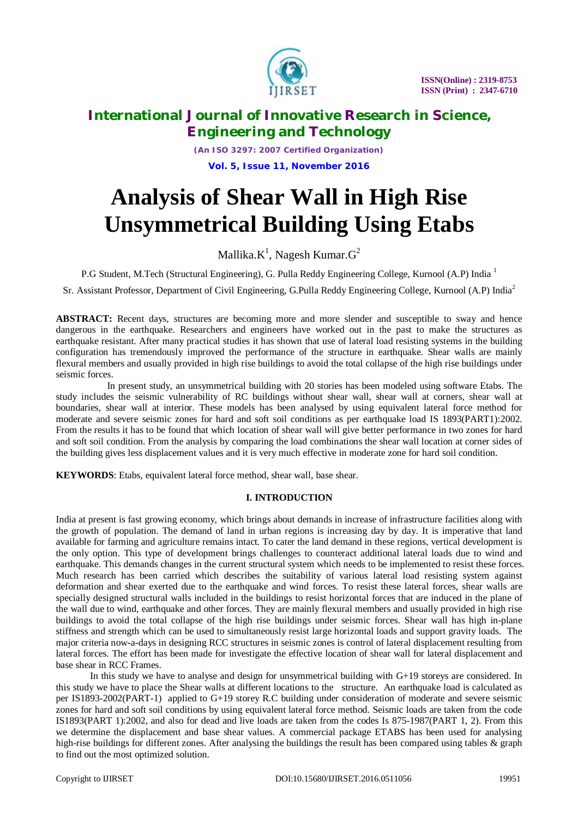

*(An ISO 3297: 2007 Certified Organization)* **Vol. 5, Issue 11, November 2016**

# **Analysis of Shear Wall in High Rise Unsymmetrical Building Using Etabs**

Mallika. $\rm K^1$ , Nagesh Kumar. $\rm G^2$ 

P.G Student, M.Tech (Structural Engineering), G. Pulla Reddy Engineering College, Kurnool (A.P) India<sup>1</sup>

Sr. Assistant Professor, Department of Civil Engineering, G.Pulla Reddy Engineering College, Kurnool (A.P) India<sup>2</sup>

**ABSTRACT:** Recent days, structures are becoming more and more slender and susceptible to sway and hence dangerous in the earthquake. Researchers and engineers have worked out in the past to make the structures as earthquake resistant. After many practical studies it has shown that use of lateral load resisting systems in the building configuration has tremendously improved the performance of the structure in earthquake. Shear walls are mainly flexural members and usually provided in high rise buildings to avoid the total collapse of the high rise buildings under seismic forces.

 In present study, an unsymmetrical building with 20 stories has been modeled using software Etabs. The study includes the seismic vulnerability of RC buildings without shear wall, shear wall at corners, shear wall at boundaries, shear wall at interior. These models has been analysed by using equivalent lateral force method for moderate and severe seismic zones for hard and soft soil conditions as per earthquake load IS 1893(PART1):2002. From the results it has to be found that which location of shear wall will give better performance in two zones for hard and soft soil condition. From the analysis by comparing the load combinations the shear wall location at corner sides of the building gives less displacement values and it is very much effective in moderate zone for hard soil condition.

**KEYWORDS**: Etabs, equivalent lateral force method, shear wall, base shear.

#### **I. INTRODUCTION**

India at present is fast growing economy, which brings about demands in increase of infrastructure facilities along with the growth of population. The demand of land in urban regions is increasing day by day. It is imperative that land available for farming and agriculture remains intact. To cater the land demand in these regions, vertical development is the only option. This type of development brings challenges to counteract additional lateral loads due to wind and earthquake. This demands changes in the current structural system which needs to be implemented to resist these forces. Much research has been carried which describes the suitability of various lateral load resisting system against deformation and shear exerted due to the earthquake and wind forces. To resist these lateral forces, shear walls are specially designed structural walls included in the buildings to resist horizontal forces that are induced in the plane of the wall due to wind, earthquake and other forces. They are mainly flexural members and usually provided in high rise buildings to avoid the total collapse of the high rise buildings under seismic forces. Shear wall has high in-plane stiffness and strength which can be used to simultaneously resist large horizontal loads and support gravity loads. The major criteria now-a-days in designing RCC structures in seismic zones is control of lateral displacement resulting from lateral forces. The effort has been made for investigate the effective location of shear wall for lateral displacement and base shear in RCC Frames.

 In this study we have to analyse and design for unsymmetrical building with G+19 storeys are considered. In this study we have to place the Shear walls at different locations to the structure. An earthquake load is calculated as per IS1893-2002(PART-1) applied to G+19 storey R.C building under consideration of moderate and severe seismic zones for hard and soft soil conditions by using equivalent lateral force method. Seismic loads are taken from the code IS1893(PART 1):2002, and also for dead and live loads are taken from the codes Is 875-1987(PART 1, 2). From this we determine the displacement and base shear values. A commercial package ETABS has been used for analysing high-rise buildings for different zones. After analysing the buildings the result has been compared using tables & graph to find out the most optimized solution.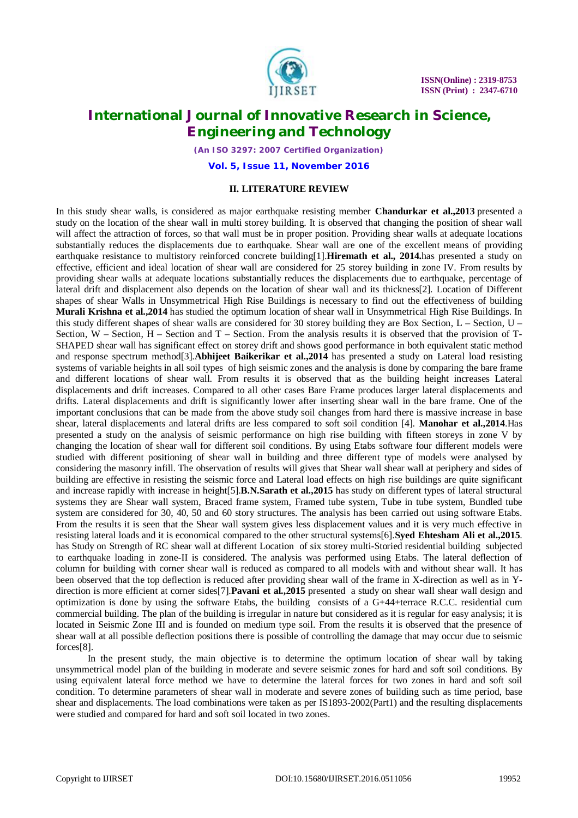

*(An ISO 3297: 2007 Certified Organization)*

**Vol. 5, Issue 11, November 2016**

### **II. LITERATURE REVIEW**

In this study shear walls, is considered as major earthquake resisting member **Chandurkar et al.,2013** presented a study on the location of the shear wall in multi storey building. It is observed that changing the position of shear wall will affect the attraction of forces, so that wall must be in proper position. Providing shear walls at adequate locations substantially reduces the displacements due to earthquake. Shear wall are one of the excellent means of providing earthquake resistance to multistory reinforced concrete building[1].**Hiremath et al., 2014.**has presented a study on effective, efficient and ideal location of shear wall are considered for 25 storey building in zone IV. From results by providing shear walls at adequate locations substantially reduces the displacements due to earthquake, percentage of lateral drift and displacement also depends on the location of shear wall and its thickness[2]. Location of Different shapes of shear Walls in Unsymmetrical High Rise Buildings is necessary to find out the effectiveness of building **Murali Krishna et al.,2014** has studied the optimum location of shear wall in Unsymmetrical High Rise Buildings. In this study different shapes of shear walls are considered for 30 storey building they are Box Section,  $L$  – Section,  $U$  – Section,  $W$  – Section,  $H$  – Section and  $T$  – Section. From the analysis results it is observed that the provision of  $T$ -SHAPED shear wall has significant effect on storey drift and shows good performance in both equivalent static method and response spectrum method[3].**Abhijeet Baikerikar et al.,2014** has presented a study on Lateral load resisting systems of variable heights in all soil types of high seismic zones and the analysis is done by comparing the bare frame and different locations of shear wall. From results it is observed that as the building height increases Lateral displacements and drift increases. Compared to all other cases Bare Frame produces larger lateral displacements and drifts. Lateral displacements and drift is significantly lower after inserting shear wall in the bare frame. One of the important conclusions that can be made from the above study soil changes from hard there is massive increase in base shear, lateral displacements and lateral drifts are less compared to soft soil condition [4]. **Manohar et al.,2014**.Has presented a study on the analysis of seismic performance on high rise building with fifteen storeys in zone V by changing the location of shear wall for different soil conditions. By using Etabs software four different models were studied with different positioning of shear wall in building and three different type of models were analysed by considering the masonry infill. The observation of results will gives that Shear wall shear wall at periphery and sides of building are effective in resisting the seismic force and Lateral load effects on high rise buildings are quite significant and increase rapidly with increase in height[5].**B.N.Sarath et al.,2015** has study on different types of lateral structural systems they are Shear wall system, Braced frame system, Framed tube system, Tube in tube system, Bundled tube system are considered for 30, 40, 50 and 60 story structures. The analysis has been carried out using software Etabs. From the results it is seen that the Shear wall system gives less displacement values and it is very much effective in resisting lateral loads and it is economical compared to the other structural systems[6].**Syed Ehtesham Ali et al.,2015**. has Study on Strength of RC shear wall at different Location of six storey multi-Storied residential building subjected to earthquake loading in zone-II is considered. The analysis was performed using Etabs. The lateral deflection of column for building with corner shear wall is reduced as compared to all models with and without shear wall. It has been observed that the top deflection is reduced after providing shear wall of the frame in X-direction as well as in Ydirection is more efficient at corner sides[7].**Pavani et al.,2015** presented a study on shear wall shear wall design and optimization is done by using the software Etabs, the building consists of a G+44+terrace R.C.C. residential cum commercial building. The plan of the building is irregular in nature but considered as it is regular for easy analysis; it is located in Seismic Zone III and is founded on medium type soil. From the results it is observed that the presence of shear wall at all possible deflection positions there is possible of controlling the damage that may occur due to seismic forces[8].

 In the present study, the main objective is to determine the optimum location of shear wall by taking unsymmetrical model plan of the building in moderate and severe seismic zones for hard and soft soil conditions. By using equivalent lateral force method we have to determine the lateral forces for two zones in hard and soft soil condition. To determine parameters of shear wall in moderate and severe zones of building such as time period, base shear and displacements. The load combinations were taken as per IS1893-2002(Part1) and the resulting displacements were studied and compared for hard and soft soil located in two zones.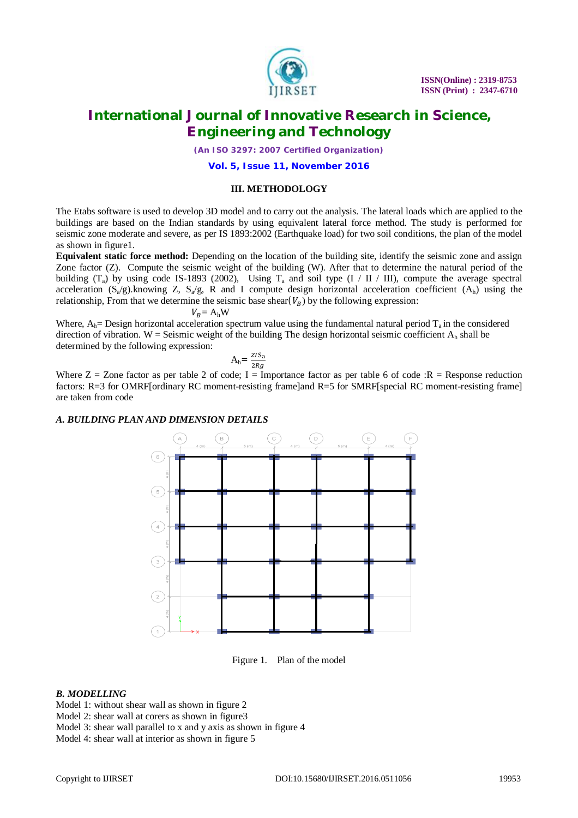

*(An ISO 3297: 2007 Certified Organization)*

**Vol. 5, Issue 11, November 2016**

#### **III. METHODOLOGY**

The Etabs software is used to develop 3D model and to carry out the analysis. The lateral loads which are applied to the buildings are based on the Indian standards by using equivalent lateral force method. The study is performed for seismic zone moderate and severe, as per IS 1893:2002 (Earthquake load) for two soil conditions, the plan of the model as shown in figure1.

**Equivalent static force method:** Depending on the location of the building site, identify the seismic zone and assign Zone factor (Z). Compute the seismic weight of the building (W). After that to determine the natural period of the building  $(T_a)$  by using code IS-1893 (2002), Using  $T_a$  and soil type (I / II / III), compute the average spectral acceleration  $(S_a/g)$ .knowing Z,  $S_a/g$ , R and I compute design horizontal acceleration coefficient  $(A_h)$  using the relationship, From that we determine the seismic base shear( $V_B$ ) by the following expression:

 $V_B = A_h W$ 

Where,  $A_h$  Design horizontal acceleration spectrum value using the fundamental natural period  $T_a$  in the considered direction of vibration. W = Seismic weight of the building The design horizontal seismic coefficient  $A_h$  shall be determined by the following expression:

$$
A_h = \frac{ZIS_a}{2Rg}
$$

Where  $Z = Z$  and factor as per table 2 of code; I = Importance factor as per table 6 of code : R = Response reduction factors: R=3 for OMRF[ordinary RC moment-resisting frame]and R=5 for SMRF[special RC moment-resisting frame] are taken from code

#### *A. BUILDING PLAN AND DIMENSION DETAILS*



Figure 1. Plan of the model

#### *B. MODELLING*

Model 1: without shear wall as shown in figure 2

Model 2: shear wall at corers as shown in figure3

Model 3: shear wall parallel to x and y axis as shown in figure 4

Model 4: shear wall at interior as shown in figure 5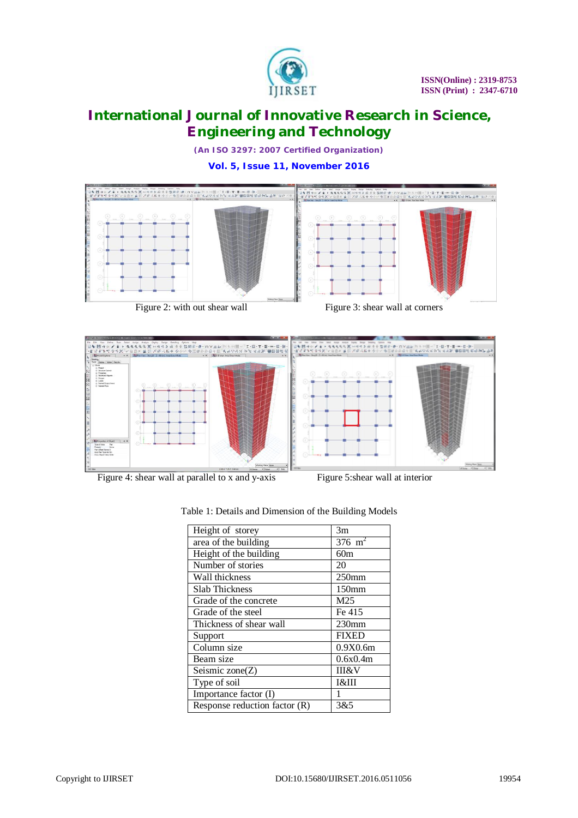

*(An ISO 3297: 2007 Certified Organization)*

**Vol. 5, Issue 11, November 2016**





Figure 2: with out shear wall Figure 3: shear wall at corners



Figure 4: shear wall at parallel to x and y-axis Figure 5: shear wall at interior

| Height of storey                | 3m                |
|---------------------------------|-------------------|
| area of the building            | $376 \text{ m}^2$ |
| Height of the building          | 60m               |
| Number of stories               | 20                |
| Wall thickness                  | $250$ mm          |
| <b>Slab Thickness</b>           | 150 <sub>mm</sub> |
| Grade of the concrete           | M <sub>25</sub>   |
| Grade of the steel              | Fe 415            |
| Thickness of shear wall         | $230$ mm          |
| Support                         | <b>FIXED</b>      |
| Column size                     | 0.9X0.6m          |
| Beam size                       | 0.6x0.4m          |
| Seismic zone $(Z)$              | <b>III&amp;V</b>  |
| Type of soil                    | <b>I&amp;III</b>  |
| Importance factor (I)           | 1                 |
| Response reduction factor $(R)$ | 3&5               |

Table 1: Details and Dimension of the Building Models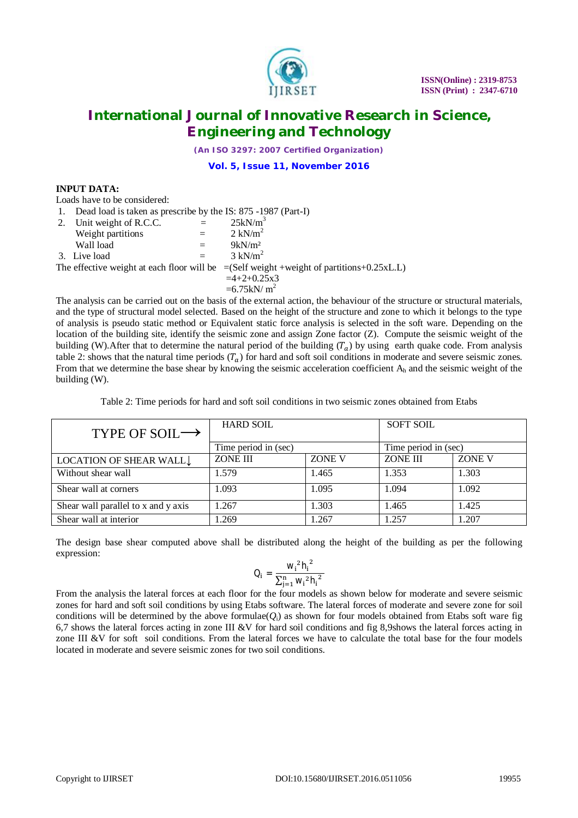

*(An ISO 3297: 2007 Certified Organization)*

**Vol. 5, Issue 11, November 2016**

#### **INPUT DATA:**

Loads have to be considered:

| 1. | Dead load is taken as prescribe by the IS: 875 -1987 (Part-I) |  |  |  |  |
|----|---------------------------------------------------------------|--|--|--|--|
|----|---------------------------------------------------------------|--|--|--|--|

| 2. Unit weight of R.C.C. | $=$ | $25kN/m^3$                                                                                    |
|--------------------------|-----|-----------------------------------------------------------------------------------------------|
| Weight partitions        |     | $2 \text{ kN/m}^2$                                                                            |
| Wall load                |     | $9kN/m^2$                                                                                     |
| 3. Live load             |     | $3 \text{ kN/m}^2$                                                                            |
|                          |     | The effective weight at each floor will be $=(Self weight + weight of partitions + 0.25xL.L)$ |
|                          |     | $=4+2+0.25x3$                                                                                 |
|                          |     | $=6.75$ kN/m <sup>2</sup>                                                                     |
|                          |     |                                                                                               |

The analysis can be carried out on the basis of the external action, the behaviour of the structure or structural materials, and the type of structural model selected. Based on the height of the structure and zone to which it belongs to the type of analysis is pseudo static method or Equivalent static force analysis is selected in the soft ware. Depending on the location of the building site, identify the seismic zone and assign Zone factor (Z). Compute the seismic weight of the building (W).After that to determine the natural period of the building  $(T<sub>a</sub>)$  by using earth quake code. From analysis table 2: shows that the natural time periods  $(T_a)$  for hard and soft soil conditions in moderate and severe seismic zones. From that we determine the base shear by knowing the seismic acceleration coefficient  $A_h$  and the seismic weight of the building (W).

Table 2: Time periods for hard and soft soil conditions in two seismic zones obtained from Etabs

| TYPE OF SOIL $\rightarrow$          | <b>HARD SOIL</b>     |        | <b>SOFT SOIL</b>     |        |
|-------------------------------------|----------------------|--------|----------------------|--------|
|                                     | Time period in (sec) |        | Time period in (sec) |        |
| LOCATION OF SHEAR WALL L            | <b>ZONE III</b>      | ZONE V | ZONE III             | ZONE V |
| Without shear wall                  | 1.579                | 1.465  | 1.353                | 1.303  |
| Shear wall at corners               | 1.093                | 1.095  | 1.094                | 1.092  |
| Shear wall parallel to x and y axis | 1.267                | 1.303  | 1.465                | 1.425  |
| Shear wall at interior              | 1.269                | 1.267  | 1.257                | 1.207  |

The design base shear computed above shall be distributed along the height of the building as per the following expression:

$$
Q_i = \frac{{w_i}^2{h_i}^2}{{\sum_{j=1}^n w_i}^2{h_i}^2}
$$

From the analysis the lateral forces at each floor for the four models as shown below for moderate and severe seismic zones for hard and soft soil conditions by using Etabs software. The lateral forces of moderate and severe zone for soil conditions will be determined by the above formulae( $O<sub>i</sub>$ ) as shown for four models obtained from Etabs soft ware fig 6,7 shows the lateral forces acting in zone III &V for hard soil conditions and fig 8,9shows the lateral forces acting in zone III &V for soft soil conditions. From the lateral forces we have to calculate the total base for the four models located in moderate and severe seismic zones for two soil conditions.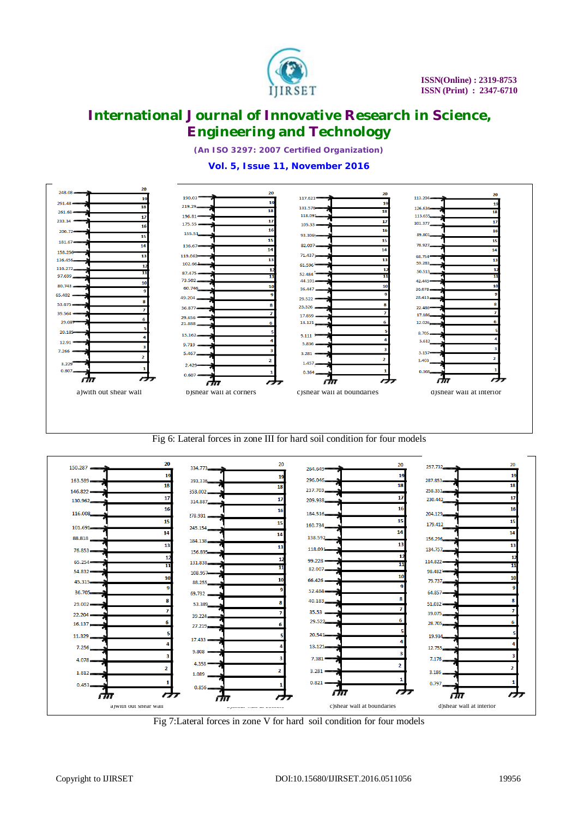

*(An ISO 3297: 2007 Certified Organization)*

### **Vol. 5, Issue 11, November 2016**



Fig 6: Lateral forces in zone III for hard soil condition for four models



Fig 7:Lateral forces in zone V for hard soil condition for four models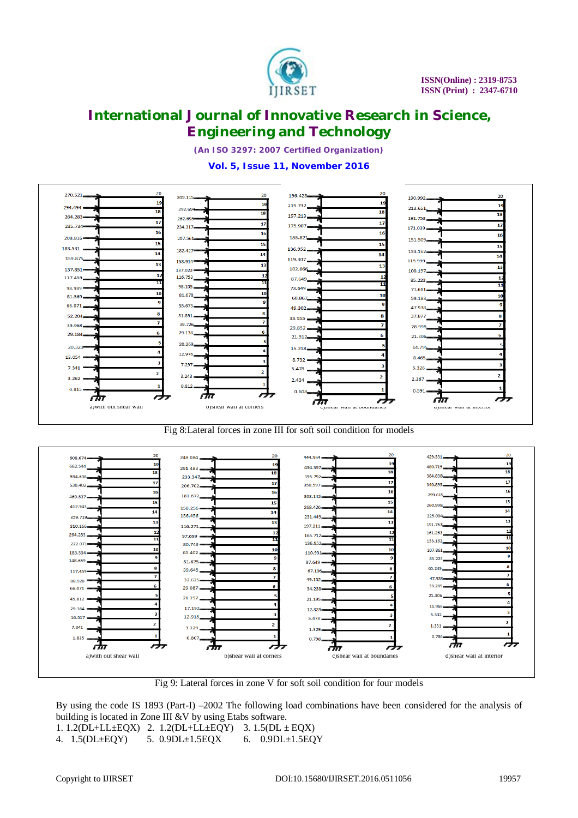

*(An ISO 3297: 2007 Certified Organization)*

### **Vol. 5, Issue 11, November 2016**



Fig 8:Lateral forces in zone III for soft soil condition for models



Fig 9: Lateral forces in zone V for soft soil condition for four models

By using the code IS 1893 (Part-I) –2002 The following load combinations have been considered for the analysis of building is located in Zone III &V by using Etabs software.

1. 1.2(DL+LL±EQX) 2. 1.2(DL+LL±EQY) 3. 1.5(DL ± EQX)

4. 1.5(DL±EQY) 5. 0.9DL±1.5EQX 6. 0.9DL±1.5EQY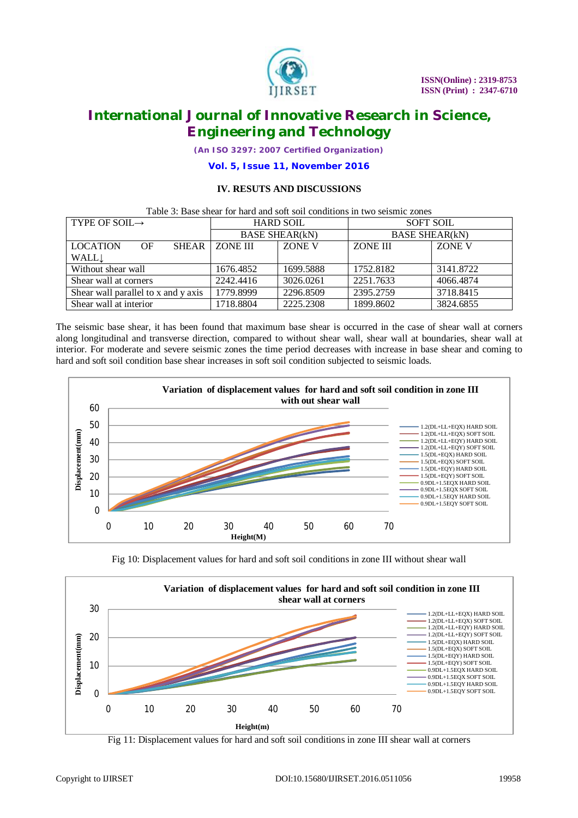

*(An ISO 3297: 2007 Certified Organization)*

**Vol. 5, Issue 11, November 2016**

### **IV. RESUTS AND DISCUSSIONS**

| Table 3: Base shear for hard and soft soil conditions in two seismic zones |                       |           |                       |           |  |
|----------------------------------------------------------------------------|-----------------------|-----------|-----------------------|-----------|--|
| TYPE OF SOIL $\rightarrow$                                                 | <b>HARD SOIL</b>      |           | <b>SOFT SOIL</b>      |           |  |
|                                                                            | <b>BASE SHEAR(kN)</b> |           | <b>BASE SHEAR(kN)</b> |           |  |
| <b>LOCATION</b><br><b>SHEAR</b><br>OF                                      | <b>ZONE III</b>       | ZONE V    | ZONE III              | ZONE V    |  |
| WALL                                                                       |                       |           |                       |           |  |
| Without shear wall                                                         | 1676.4852             | 1699.5888 | 1752.8182             | 3141.8722 |  |
| Shear wall at corners                                                      | 2242.4416             | 3026.0261 | 2251.7633             | 4066.4874 |  |
| Shear wall parallel to x and y axis                                        | 1779.8999             | 2296.8509 | 2395.2759             | 3718.8415 |  |
| Shear wall at interior                                                     | 1718.8804             | 2225.2308 | 1899.8602             | 3824.6855 |  |

The seismic base shear, it has been found that maximum base shear is occurred in the case of shear wall at corners along longitudinal and transverse direction, compared to without shear wall, shear wall at boundaries, shear wall at interior. For moderate and severe seismic zones the time period decreases with increase in base shear and coming to hard and soft soil condition base shear increases in soft soil condition subjected to seismic loads.







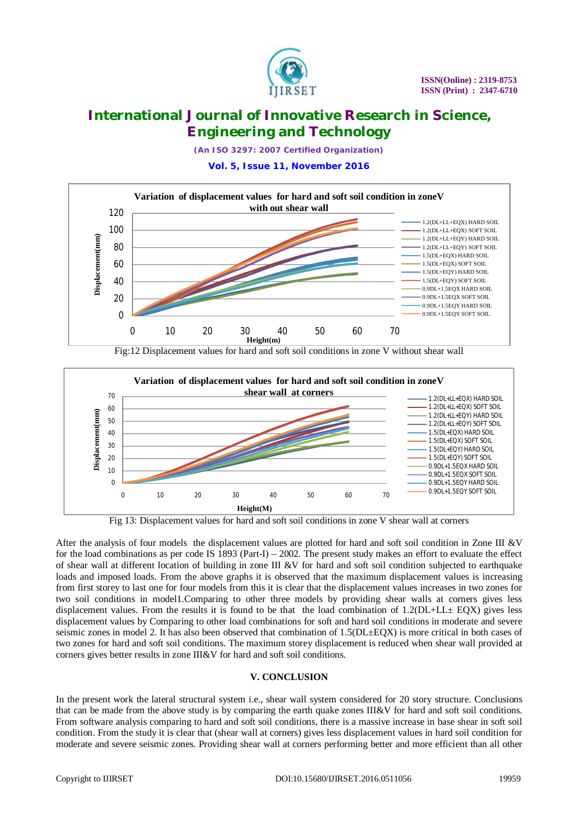

*(An ISO 3297: 2007 Certified Organization)*

**Vol. 5, Issue 11, November 2016**



Fig:12 Displacement values for hard and soft soil conditions in zone V without shear wall



Fig 13: Displacement values for hard and soft soil conditions in zone V shear wall at corners

After the analysis of four models the displacement values are plotted for hard and soft soil condition in Zone III &V for the load combinations as per code IS 1893 (Part-I) – 2002. The present study makes an effort to evaluate the effect of shear wall at different location of building in zone III &V for hard and soft soil condition subjected to earthquake loads and imposed loads. From the above graphs it is observed that the maximum displacement values is increasing from first storey to last one for four models from this it is clear that the displacement values increases in two zones for two soil conditions in model1.Comparing to other three models by providing shear walls at corners gives less displacement values. From the results it is found to be that the load combination of 1.2(DL+LL± EQX) gives less displacement values by Comparing to other load combinations for soft and hard soil conditions in moderate and severe seismic zones in model 2. It has also been observed that combination of 1.5(DL±EQX) is more critical in both cases of two zones for hard and soft soil conditions. The maximum storey displacement is reduced when shear wall provided at corners gives better results in zone III&V for hard and soft soil conditions.

### **V. CONCLUSION**

In the present work the lateral structural system i.e., shear wall system considered for 20 story structure. Conclusions that can be made from the above study is by comparing the earth quake zones III&V for hard and soft soil conditions. From software analysis comparing to hard and soft soil conditions, there is a massive increase in base shear in soft soil condition. From the study it is clear that (shear wall at corners) gives less displacement values in hard soil condition for moderate and severe seismic zones. Providing shear wall at corners performing better and more efficient than all other